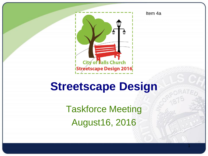

Item 4a

1

### **Streetscape Design**

Taskforce Meeting August16, 2016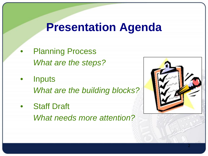### **Presentation Agenda**

- **Planning Process** *What are the steps?*
- **Inputs** *What are the building blocks?*
- **Staff Draft** *What needs more attention?*

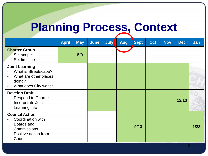# **Planning Process, Context**

|                                                                                                                                                                | <b>April</b> | <b>May</b> | <b>June</b> | <b>July</b> | <b>Aug</b> | Sept | Oct | <b>Nov</b> | Dec   | Jan  |
|----------------------------------------------------------------------------------------------------------------------------------------------------------------|--------------|------------|-------------|-------------|------------|------|-----|------------|-------|------|
| <b>Charter Group</b><br>Set scope<br>Set timeline                                                                                                              |              | 5/9        |             |             |            |      |     |            |       |      |
| <b>Joint Learning</b><br>What is Streetscape?<br>$\blacksquare$<br>What are other places<br>$\blacksquare$<br>doing?<br>What does City want?<br>$\blacksquare$ |              |            |             |             |            |      |     |            |       |      |
| <b>Develop Draft</b><br><b>Respond to Charter</b><br>$\qquad \qquad \blacksquare$<br>Incorporate Joint<br>$\blacksquare$<br>Learning info                      |              |            |             |             |            |      |     |            | 12/13 |      |
| <b>Council Action</b><br>Coordination with<br>Boards and<br>Commissions<br>Positive action from<br>$\blacksquare$<br>Council                                   |              |            |             |             |            | 9/13 |     |            |       | 1/23 |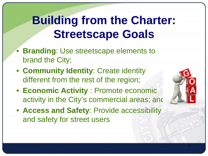### **Building from the Charter: Streetscape Goals**

- **Branding**: Use streetscape elements to brand the City;
- **Community Identity**: Create identity different from the rest of the region;
- **Economic Activity** : Promote economic activity in the City's commercial areas; and
- **Access and Safety**: Provide accessibility and safety for street users

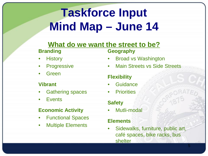## **Taskforce Input Mind Map – June 14**

#### **What do we want the street to be? Branding Geography**

- **History**
- **Progressive**
- **Green**

#### **Vibrant**

- Gathering spaces
- **Events**

#### **Economic Activity**

- Functional Spaces
- Multiple Elements

- Broad vs Washington
- **Main Streets vs Side Streets**

### **Flexibility**

- **Guidance**
- Priorities

#### **Safety**

Mutli-modal

#### **Elements**

• Sidewalks, furniture, public art, café spaces, bike racks, bus shelter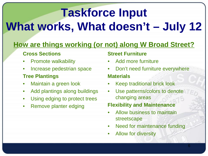# **Taskforce Input What works, What doesn't – July 12**

### **How are things working (or not) along W Broad Street?**

### **Cross Sections**

- Promote walkability
- Increase pedestrian space

### **Tree Plantings**

- Maintain a green look
- Add plantings along buildings
- Using edging to protect trees
- Remove planter edging

### **Street Furniture**

- Add more furniture
- Don't need furniture everywhere **Materials**
- Keep traditional brick look
- Use patterns/colors to denote changing areas

### **Flexibility and Maintenance**

- Allow business to maintain streetscape
- Need for maintenance funding
- Allow for diversity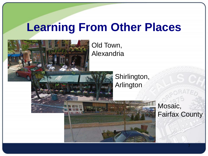### **Learning From Other Places**



Old Town, Alexandria

> Shirlington, Arlington

> > Mosaic, Fairfax County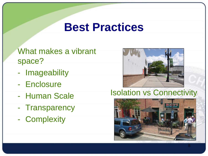### **Best Practices**

What makes a vibrant space?

- Imageability
- Enclosure
- Human Scale
- Transparency
- Complexity



### Isolation vs Connectivity

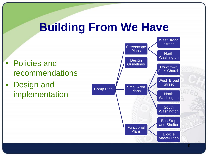### **Building From We Have**

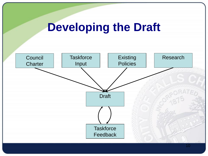

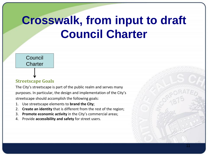### **Crosswalk, from input to draft Council Charter**

11

#### **Council Charter**

#### **Streetscape Goals**

The City's streetscape is part of the public realm and serves many purposes. In particular, the design and implementation of the City's streetscape should accomplish the following goals:

- 1. Use streetscape elements to **brand the City**;
- 2. **Create an identity** that is different from the rest of the region;
- 3. **Promote economic activity** in the City's commercial areas;
- 4. Provide **accessibility and safety** for street users.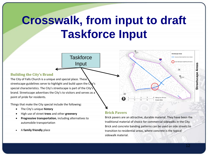### **Crosswalk, from input to draft Taskforce Input**

**Taskforce** 

Input

#### **Building the City's Brand**

The City of Falls Church is a unique and special place. These streetscape guidelines serve to highlight and build upon the  $\mathbf{C}\mathbf{V}'$ 's special characteristics. The City's streetscape is part of the City's brand. Streetscape advertises the City's to visitors and serves as a point of pride for residents.

Things that make the City special include the following:

- The City's unique **history**
- High use of street **trees** and other **greenery**
- **Progressive transportation**, including alternatives to automobile transportation
- A **family friendly** place

#### **Brick Pavers**

 $\widetilde{29}$ ଇ

Brick pavers are an attractive, durable material. They have been the traditional material of choice for commercial sidewalks in the City. Brick and concrete banding patterns can be used on side streets to transition to residential areas, where concrete is the typical sidewalk material.

**Area** 

**Abehington Street/Tinner Hill Dictrict** 

 $\sqrt{29}$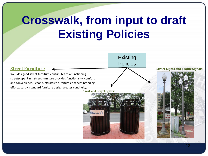### **Crosswalk, from input to draft Existing Policies**

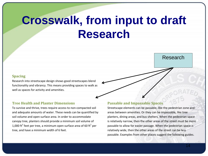### **Crosswalk, from input to draft Research**

#### **Spacing**

Research into streetscape design shows good streetscapes blend functionality and vibrancy. This means providing spaces to walk as well as spaces for activity and amenities.

#### **Tree Health and Planter Dimensions**

To survive and thrive, trees require access to non-compacted soil and adequate amounts of water. These needs can be quantified by soil volume and open surface area. In order to accommodate canopy tree, planters should provide a minimum soil volume of 1,000 ft<sup>3</sup> feet per tree, a minimum open surface area of 60 ft<sup>2</sup> per tree, and have a minimum width of 6 feet.

#### **Passable and Impassable Spaces**

Streetscape elements can be passable, like the pedestrian zone and areas between amenities. Or they can be impassable, like tree planters, dining areas, and bus shelters. When the pedestrian space is relatively narrow, then the other areas of the street must be more passable to allow for easier passage. When the pedestrian space is relatively wide, then the other areas of the street can be less passable. Examples from other places suggest the following guides.

Research